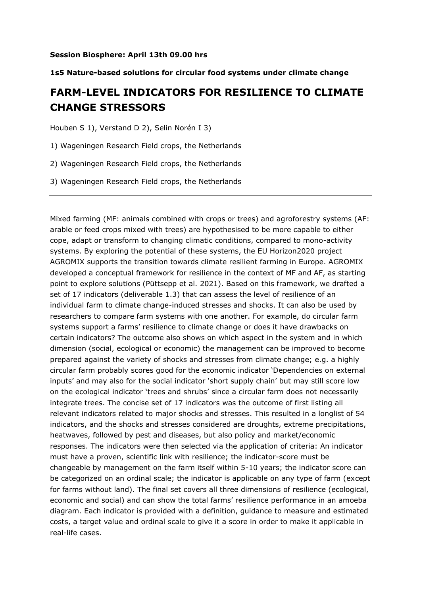#### **1s5 Nature-based solutions for circular food systems under climate change**

### **FARM-LEVEL INDICATORS FOR RESILIENCE TO CLIMATE CHANGE STRESSORS**

Houben S 1), Verstand D 2), Selin Norén I 3)

1) Wageningen Research Field crops, the Netherlands

2) Wageningen Research Field crops, the Netherlands

3) Wageningen Research Field crops, the Netherlands

Mixed farming (MF: animals combined with crops or trees) and agroforestry systems (AF: arable or feed crops mixed with trees) are hypothesised to be more capable to either cope, adapt or transform to changing climatic conditions, compared to mono-activity systems. By exploring the potential of these systems, the EU Horizon2020 project AGROMIX supports the transition towards climate resilient farming in Europe. AGROMIX developed a conceptual framework for resilience in the context of MF and AF, as starting point to explore solutions (Püttsepp et al. 2021). Based on this framework, we drafted a set of 17 indicators (deliverable 1.3) that can assess the level of resilience of an individual farm to climate change-induced stresses and shocks. It can also be used by researchers to compare farm systems with one another. For example, do circular farm systems support a farms' resilience to climate change or does it have drawbacks on certain indicators? The outcome also shows on which aspect in the system and in which dimension (social, ecological or economic) the management can be improved to become prepared against the variety of shocks and stresses from climate change; e.g. a highly circular farm probably scores good for the economic indicator 'Dependencies on external inputs' and may also for the social indicator 'short supply chain' but may still score low on the ecological indicator 'trees and shrubs' since a circular farm does not necessarily integrate trees. The concise set of 17 indicators was the outcome of first listing all relevant indicators related to major shocks and stresses. This resulted in a longlist of 54 indicators, and the shocks and stresses considered are droughts, extreme precipitations, heatwaves, followed by pest and diseases, but also policy and market/economic responses. The indicators were then selected via the application of criteria: An indicator must have a proven, scientific link with resilience; the indicator-score must be changeable by management on the farm itself within 5-10 years; the indicator score can be categorized on an ordinal scale; the indicator is applicable on any type of farm (except for farms without land). The final set covers all three dimensions of resilience (ecological, economic and social) and can show the total farms' resilience performance in an amoeba diagram. Each indicator is provided with a definition, guidance to measure and estimated costs, a target value and ordinal scale to give it a score in order to make it applicable in real-life cases.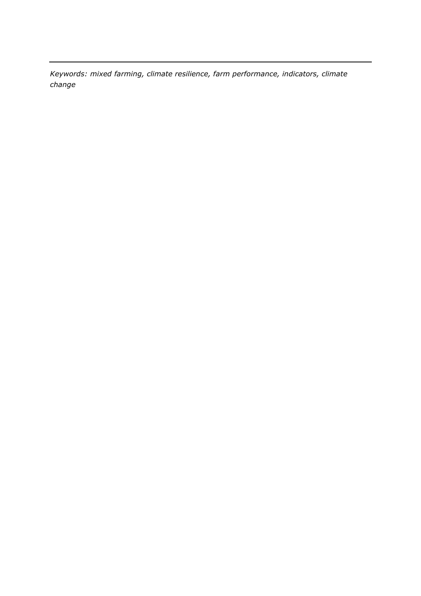*Keywords: mixed farming, climate resilience, farm performance, indicators, climate change*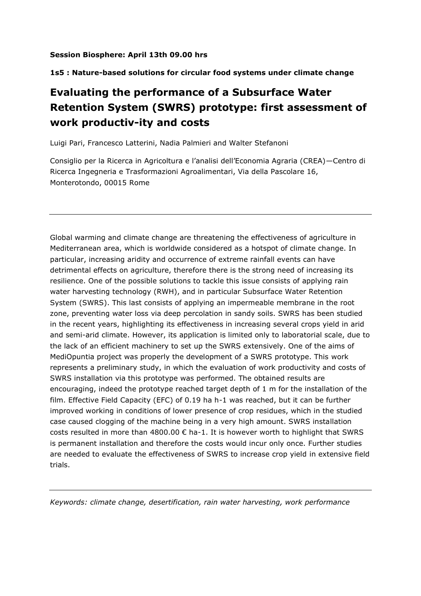#### **1s5 : Nature-based solutions for circular food systems under climate change**

# **Evaluating the performance of a Subsurface Water Retention System (SWRS) prototype: first assessment of work productiv-ity and costs**

Luigi Pari, Francesco Latterini, Nadia Palmieri and Walter Stefanoni

Consiglio per la Ricerca in Agricoltura e l'analisi dell'Economia Agraria (CREA)—Centro di Ricerca Ingegneria e Trasformazioni Agroalimentari, Via della Pascolare 16, Monterotondo, 00015 Rome

Global warming and climate change are threatening the effectiveness of agriculture in Mediterranean area, which is worldwide considered as a hotspot of climate change. In particular, increasing aridity and occurrence of extreme rainfall events can have detrimental effects on agriculture, therefore there is the strong need of increasing its resilience. One of the possible solutions to tackle this issue consists of applying rain water harvesting technology (RWH), and in particular Subsurface Water Retention System (SWRS). This last consists of applying an impermeable membrane in the root zone, preventing water loss via deep percolation in sandy soils. SWRS has been studied in the recent years, highlighting its effectiveness in increasing several crops yield in arid and semi-arid climate. However, its application is limited only to laboratorial scale, due to the lack of an efficient machinery to set up the SWRS extensively. One of the aims of MediOpuntia project was properly the development of a SWRS prototype. This work represents a preliminary study, in which the evaluation of work productivity and costs of SWRS installation via this prototype was performed. The obtained results are encouraging, indeed the prototype reached target depth of 1 m for the installation of the film. Effective Field Capacity (EFC) of 0.19 ha h-1 was reached, but it can be further improved working in conditions of lower presence of crop residues, which in the studied case caused clogging of the machine being in a very high amount. SWRS installation costs resulted in more than  $4800.00 \in$  ha-1. It is however worth to highlight that SWRS is permanent installation and therefore the costs would incur only once. Further studies are needed to evaluate the effectiveness of SWRS to increase crop yield in extensive field trials.

*Keywords: climate change, desertification, rain water harvesting, work performance*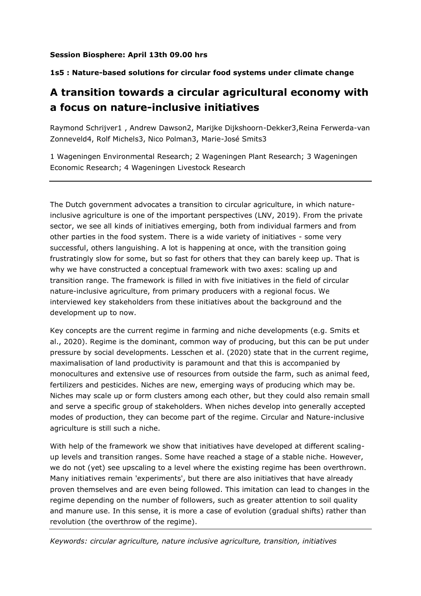#### **1s5 : Nature-based solutions for circular food systems under climate change**

### **A transition towards a circular agricultural economy with a focus on nature-inclusive initiatives**

Raymond Schrijver1 , Andrew Dawson2, Marijke Dijkshoorn-Dekker3,Reina Ferwerda-van Zonneveld4, Rolf Michels3, Nico Polman3, Marie-José Smits3

1 Wageningen Environmental Research; 2 Wageningen Plant Research; 3 Wageningen Economic Research; 4 Wageningen Livestock Research

The Dutch government advocates a transition to circular agriculture, in which natureinclusive agriculture is one of the important perspectives (LNV, 2019). From the private sector, we see all kinds of initiatives emerging, both from individual farmers and from other parties in the food system. There is a wide variety of initiatives - some very successful, others languishing. A lot is happening at once, with the transition going frustratingly slow for some, but so fast for others that they can barely keep up. That is why we have constructed a conceptual framework with two axes: scaling up and transition range. The framework is filled in with five initiatives in the field of circular nature-inclusive agriculture, from primary producers with a regional focus. We interviewed key stakeholders from these initiatives about the background and the development up to now.

Key concepts are the current regime in farming and niche developments (e.g. Smits et al., 2020). Regime is the dominant, common way of producing, but this can be put under pressure by social developments. Lesschen et al. (2020) state that in the current regime, maximalisation of land productivity is paramount and that this is accompanied by monocultures and extensive use of resources from outside the farm, such as animal feed, fertilizers and pesticides. Niches are new, emerging ways of producing which may be. Niches may scale up or form clusters among each other, but they could also remain small and serve a specific group of stakeholders. When niches develop into generally accepted modes of production, they can become part of the regime. Circular and Nature-inclusive agriculture is still such a niche.

With help of the framework we show that initiatives have developed at different scalingup levels and transition ranges. Some have reached a stage of a stable niche. However, we do not (yet) see upscaling to a level where the existing regime has been overthrown. Many initiatives remain 'experiments', but there are also initiatives that have already proven themselves and are even being followed. This imitation can lead to changes in the regime depending on the number of followers, such as greater attention to soil quality and manure use. In this sense, it is more a case of evolution (gradual shifts) rather than revolution (the overthrow of the regime).

*Keywords: circular agriculture, nature inclusive agriculture, transition, initiatives*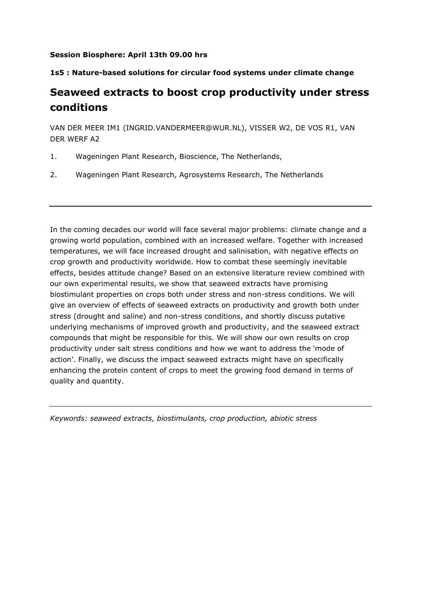#### **1s5 : Nature-based solutions for circular food systems under climate change**

### **Seaweed extracts to boost crop productivity under stress conditions**

VAN DER MEER IM1 (INGRID.VANDERMEER@WUR.NL), VISSER W2, DE VOS R1, VAN DER WERF A2

- 1. Wageningen Plant Research, Bioscience, The Netherlands,
- 2. Wageningen Plant Research, Agrosystems Research, The Netherlands

In the coming decades our world will face several major problems: climate change and a growing world population, combined with an increased welfare. Together with increased temperatures, we will face increased drought and salinisation, with negative effects on crop growth and productivity worldwide. How to combat these seemingly inevitable effects, besides attitude change? Based on an extensive literature review combined with our own experimental results, we show that seaweed extracts have promising biostimulant properties on crops both under stress and non-stress conditions. We will give an overview of effects of seaweed extracts on productivity and growth both under stress (drought and saline) and non-stress conditions, and shortly discuss putative underlying mechanisms of improved growth and productivity, and the seaweed extract compounds that might be responsible for this. We will show our own results on crop productivity under salt stress conditions and how we want to address the 'mode of action'. Finally, we discuss the impact seaweed extracts might have on specifically enhancing the protein content of crops to meet the growing food demand in terms of quality and quantity.

*Keywords: seaweed extracts, biostimulants, crop production, abiotic stress*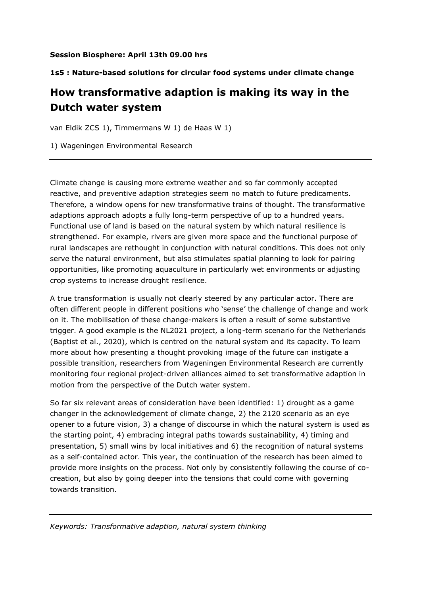#### **1s5 : Nature-based solutions for circular food systems under climate change**

## **How transformative adaption is making its way in the Dutch water system**

van Eldik ZCS 1), Timmermans W 1) de Haas W 1)

1) Wageningen Environmental Research

Climate change is causing more extreme weather and so far commonly accepted reactive, and preventive adaption strategies seem no match to future predicaments. Therefore, a window opens for new transformative trains of thought. The transformative adaptions approach adopts a fully long-term perspective of up to a hundred years. Functional use of land is based on the natural system by which natural resilience is strengthened. For example, rivers are given more space and the functional purpose of rural landscapes are rethought in conjunction with natural conditions. This does not only serve the natural environment, but also stimulates spatial planning to look for pairing opportunities, like promoting aquaculture in particularly wet environments or adjusting crop systems to increase drought resilience.

A true transformation is usually not clearly steered by any particular actor. There are often different people in different positions who 'sense' the challenge of change and work on it. The mobilisation of these change-makers is often a result of some substantive trigger. A good example is the NL2021 project, a long-term scenario for the Netherlands (Baptist et al., 2020), which is centred on the natural system and its capacity. To learn more about how presenting a thought provoking image of the future can instigate a possible transition, researchers from Wageningen Environmental Research are currently monitoring four regional project-driven alliances aimed to set transformative adaption in motion from the perspective of the Dutch water system.

So far six relevant areas of consideration have been identified: 1) drought as a game changer in the acknowledgement of climate change, 2) the 2120 scenario as an eye opener to a future vision, 3) a change of discourse in which the natural system is used as the starting point, 4) embracing integral paths towards sustainability, 4) timing and presentation, 5) small wins by local initiatives and 6) the recognition of natural systems as a self-contained actor. This year, the continuation of the research has been aimed to provide more insights on the process. Not only by consistently following the course of cocreation, but also by going deeper into the tensions that could come with governing towards transition.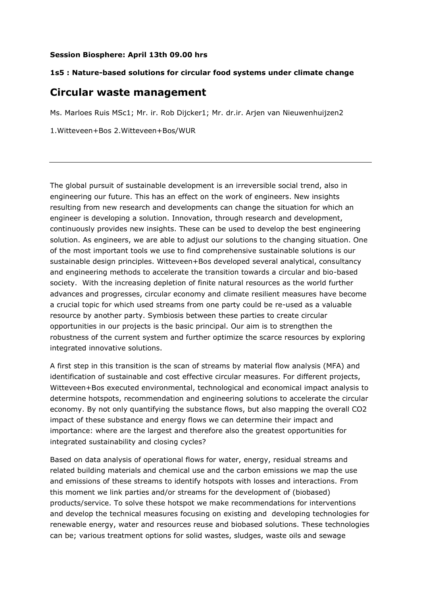#### **1s5 : Nature-based solutions for circular food systems under climate change**

### **Circular waste management**

Ms. Marloes Ruis MSc1; Mr. ir. Rob Dijcker1; Mr. dr.ir. Arjen van Nieuwenhuijzen2

1.Witteveen+Bos 2.Witteveen+Bos/WUR

The global pursuit of sustainable development is an irreversible social trend, also in engineering our future. This has an effect on the work of engineers. New insights resulting from new research and developments can change the situation for which an engineer is developing a solution. Innovation, through research and development, continuously provides new insights. These can be used to develop the best engineering solution. As engineers, we are able to adjust our solutions to the changing situation. One of the most important tools we use to find comprehensive sustainable solutions is our sustainable design principles. Witteveen+Bos developed several analytical, consultancy and engineering methods to accelerate the transition towards a circular and bio-based society. With the increasing depletion of finite natural resources as the world further advances and progresses, circular economy and climate resilient measures have become a crucial topic for which used streams from one party could be re-used as a valuable resource by another party. Symbiosis between these parties to create circular opportunities in our projects is the basic principal. Our aim is to strengthen the robustness of the current system and further optimize the scarce resources by exploring integrated innovative solutions.

A first step in this transition is the scan of streams by material flow analysis (MFA) and identification of sustainable and cost effective circular measures. For different projects, Witteveen+Bos executed environmental, technological and economical impact analysis to determine hotspots, recommendation and engineering solutions to accelerate the circular economy. By not only quantifying the substance flows, but also mapping the overall CO2 impact of these substance and energy flows we can determine their impact and importance: where are the largest and therefore also the greatest opportunities for integrated sustainability and closing cycles?

Based on data analysis of operational flows for water, energy, residual streams and related building materials and chemical use and the carbon emissions we map the use and emissions of these streams to identify hotspots with losses and interactions. From this moment we link parties and/or streams for the development of (biobased) products/service. To solve these hotspot we make recommendations for interventions and develop the technical measures focusing on existing and developing technologies for renewable energy, water and resources reuse and biobased solutions. These technologies can be; various treatment options for solid wastes, sludges, waste oils and sewage